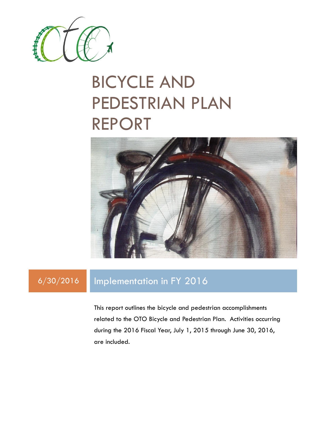

# BICYCLE AND PEDESTRIAN PLAN REPORT



## 6/30/2016 Implementation in FY 2016

This report outlines the bicycle and pedestrian accomplishments related to the OTO Bicycle and Pedestrian Plan. Activities occurring during the 2016 Fiscal Year, July 1, 2015 through June 30, 2016, are included.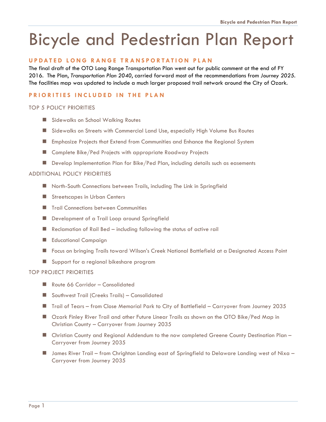## Bicycle and Pedestrian Plan Report

## **U P D A T E D L O N G R A N G E T R A N S P O R T A T I O N P L A N**

The final draft of the OTO Long Range Transportation Plan went out for public comment at the end of FY 2016. The Plan, *Transportation Plan 2040*, carried forward most of the recommendations from *Journey 2025*. The facilities map was updated to include a much larger proposed trail network around the City of Ozark.

## **PRIORITIES INCLUDED IN THE PLAN**

## TOP 5 POLICY PRIORITIES

- Sidewalks on School Walking Routes
- Sidewalks on Streets with Commercial Land Use, especially High Volume Bus Routes
- Emphasize Projects that Extend from Communities and Enhance the Regional System
- Complete Bike/Ped Projects with appropriate Roadway Projects
- **Develop Implementation Plan for Bike/Ped Plan, including details such as easements**

## ADDITIONAL POLICY PRIORITIES

- North-South Connections between Trails, including The Link in Springfield
- **Streetscapes in Urban Centers**
- **Trail Connections between Communities**
- Development of a Trail Loop around Springfield
- Reclamation of Rail Bed including following the status of active rail
- **Educational Campaign**
- Focus on bringing Trails toward Wilson's Creek National Battlefield at a Designated Access Point
- Support for a regional bikeshare program

## TOP PROJECT PRIORITIES

- Route 66 Corridor Consolidated
- Southwest Trail (Creeks Trails) Consolidated
- Trail of Tears from Close Memorial Park to City of Battlefield Carryover from Journey 2035
- Ozark Finley River Trail and other Future Linear Trails as shown on the OTO Bike/Ped Map in Christian County – Carryover from Journey 2035
- Christian County and Regional Addendum to the now completed Greene County Destination Plan Carryover from Journey 2035
- James River Trail from Chrighton Landing east of Springfield to Delaware Landing west of Nixa Carryover from Journey 2035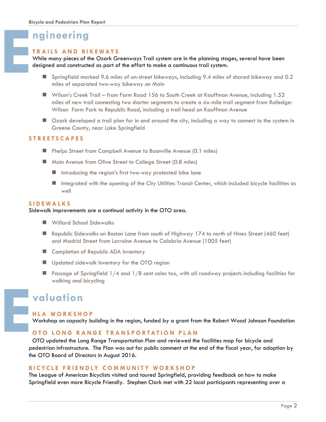## **ngineering**

## **T R A I L S A N D B I K E W AY S**

While many pieces of the Ozark Greenways Trail system are in the planning stages, several have been designed and constructed as part of the effort to make a continuous trail system.

- Springfield marked 9.6 miles of on-street bikeways, including 9.4 miles of shared bikeway and 0.2 miles of separated two-way bikeway on Main
- Wilson's Creek Trail from Farm Road 156 to South Creek at Kauffman Avenue, including 1.52 miles of new trail connecting two shorter segments to create a six-mile trail segment from Rutledge-Wilson Farm Park to Republic Road, including a trail head on Kauffman Avenue
- Ozark developed a trail plan for in and around the city, including a way to connect to the system in Greene County, near Lake Springfield

## **S T R E E T S C A P E S**

- **Phelps Street from Campbell Avenue to Boonville Avenue (0.1 miles)**
- Main Avenue from Olive Street to College Street (0.8 miles)
	- Introducing the region's first two-way protected bike lane
	- Integrated with the opening of the City Utilities Transit Center, which included bicycle facilities as well

## **S I D E W A L K S**

#### Sidewalk improvements are a continual activity in the OTO area.

- Willard School Sidewalks
- Republic Sidewalks on Boston Lane from south of Highway 174 to north of Hines Street (460 feet) and Madrid Street from Lorraine Avenue to Calabria Avenue (1005 feet)
- Completion of Republic ADA Inventory
- **Updated sidewalk inventory for the OTO region**
- **Passage of Springfield**  $1/4$  **and**  $1/8$  **cent sales tax, with all roadway projects including facilities for** walking and bicycling

## **valuation**

## **H L A W O R K S H O P**

Workshop on capacity building in the region, funded by a grant from the Robert Wood Johnson Foundation

## **OTO LONG RANGE TRANSPORTATION PLAN**

OTO updated the Long Range Transportation Plan and reviewed the facilities map for bicycle and pedestrian infrastructure. The Plan was out for public comment at the end of the fiscal year, for adoption by the OTO Board of Directors in August 2016. **E**

## **B I C Y C L E F R I E N D L Y C O M M U N I T Y W O R K S H O P**

The League of American Bicyclists visited and toured Springfield, providing feedback on how to make Springfield even more Bicycle Friendly. Stephen Clark met with 22 local participants representing over a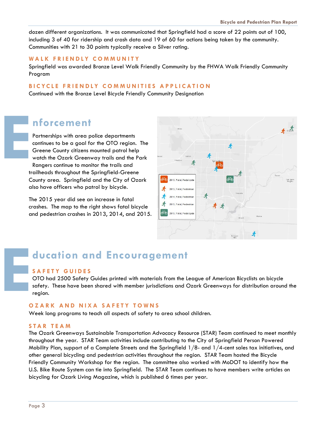dozen different organizations. It was communicated that Springfield had a score of 22 points out of 100, including 3 of 40 for ridership and crash data and 19 of 60 for actions being taken by the community. Communities with 21 to 30 points typically receive a Silver rating.

## **W A L K F R I E N D L Y C O M M U N I T Y**

Springfield was awarded Bronze Level Walk Friendly Community by the FHWA Walk Friendly Community Program

## **BICYCLE FRIENDLY COMMUNITIES APPLICATION**

Continued with the Bronze Level Bicycle Friendly Community Designation

## **nforcement**

Partnerships with area police departments continues to be a goal for the OTO region. The Greene County citizens mounted patrol help watch the Ozark Greenway trails and the Park Rangers continue to monitor the trails and trailheads throughout the Springfield-Greene County area. Springfield and the City of Ozark also have officers who patrol by bicycle. **E**

> The 2015 year did see an increase in fatal crashes. The map to the right shows fatal bicycle and pedestrian crashes in 2013, 2014, and 2015.



# **ducation and Encouragement E**

## **S A F E T Y G U I D E S**

OTO had 2500 Safety Guides printed with materials from the League of American Bicyclists on bicycle safety. These have been shared with member jurisdictions and Ozark Greenways for distribution around the region.

## **O Z A R K A N D N I X A S A F E T Y T O W N S**

Week long programs to teach all aspects of safety to area school children.

## **S T A R T E A M**

The Ozark Greenways Sustainable Transportation Advocacy Resource (STAR) Team continued to meet monthly throughout the year. STAR Team activities include contributing to the City of Springfield Person Powered Mobility Plan, support of a Complete Streets and the Springfield 1/8- and 1/4-cent sales tax initiatives, and other general bicycling and pedestrian activities throughout the region. STAR Team hosted the Bicycle Friendly Community Workshop for the region. The committee also worked with MoDOT to identify how the U.S. Bike Route System can tie into Springfield. The STAR Team continues to have members write articles on bicycling for Ozark Living Magazine, which is published 6 times per year.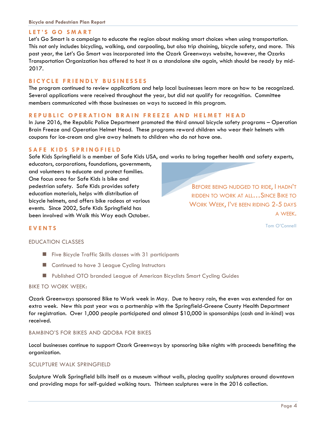## LET'S GO SMART

Let's Go Smart is a campaign to educate the region about making smart choices when using transportation. This not only includes bicycling, walking, and carpooling, but also trip chaining, bicycle safety, and more. This past year, the Let's Go Smart was incorporated into the Ozark Greenways website, however, the Ozarks Transportation Organization has offered to host it as a standalone site again, which should be ready by mid-2017.

## **B I C Y C L E F R I E N D L Y B U S I N E S S E S**

The program continued to review applications and help local businesses learn more on how to be recognized. Several applications were received throughout the year, but did not qualify for recognition. Committee members communicated with those businesses on ways to succeed in this program.

## **R E P U B L I C O P E R A T I O N B R A I N F R E E Z E A N D H E L M E T H E A D**

In June 2016, the Republic Police Department promoted the third annual bicycle safety programs – Operation Brain Freeze and Operation Helmet Head. These programs reward children who wear their helmets with coupons for ice-cream and give away helmets to children who do not have one.

## **SAFE KIDS SPRINGFIELD**

Safe Kids Springfield is a member of Safe Kids USA, and works to bring together health and safety experts,

educators, corporations, foundations, governments, and volunteers to educate and protect families. One focus area for Safe Kids is bike and pedestrian safety. Safe Kids provides safety education materials, helps with distribution of bicycle helmets, and offers bike rodeos at various events. Since 2002, Safe Kids Springfield has been involved with Walk this Way each October.

BEFORE BEING NUDGED TO RIDE, I HADN'T RIDDEN TO WORK AT ALL…SINCE BIKE TO WORK WEEK, I'VE BEEN RIDING 2-5 DAYS A WEEK.

Tom O'Connell

## **E V E N T S**

## EDUCATION CLASSES

- **Five Bicycle Traffic Skills classes with 31 participants**
- Continued to have 3 League Cycling Instructors
- Published OTO branded League of American Bicyclists Smart Cycling Guides

## BIKE TO WORK WEEK:

Ozark Greenways sponsored Bike to Work week in May. Due to heavy rain, the even was extended for an extra week. New this past year was a partnership with the Springfield-Greene County Health Department for registration. Over 1,000 people participated and almost \$10,000 in sponsorships (cash and in-kind) was received.

#### BAMBINO'S FOR BIKES AND QDOBA FOR BIKES

Local businesses continue to support Ozark Greenways by sponsoring bike nights with proceeds benefiting the organization.

## SCULPTURE WALK SPRINGFIELD

Sculpture Walk Springfield bills itself as a museum without walls, placing quality sculptures around downtown and providing maps for self-guided walking tours. Thirteen sculptures were in the 2016 collection.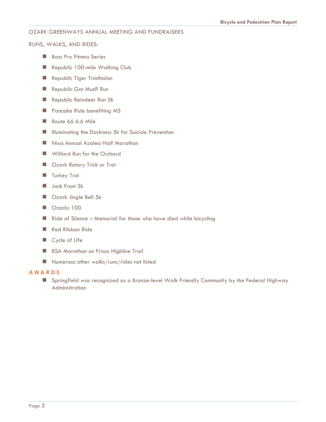## OZARK GREENWAYS ANNUAL MEETING AND FUNDRAISERS

RUNS, WALKS, AND RIDES:

- **Bass Pro Fitness Series**
- Republic 100-mile Walking Club
- Republic Tiger Triathalon
- Republic Got Mud? Run
- Republic Reindeer Run 5k
- **Pancake Ride benefiting MS**
- Route 66 6.6 Mile
- **IIII** Illuminating the Darkness 5k for Suicide Prevention
- Nixa Annual Azalea Half Marathon
- Willard Run for the Orchard
- Ozark Rotary Trick or Trot
- **Turkey Trot**
- **Jack Frost 5k**
- Ozark Jingle Bell 5k
- Ozarks 100
- $\blacksquare$  Ride of Silence Memorial for those who have died while bicycling
- Red Ribbon Ride
- Cycle of Life
- **BSA Marathon on Frisco Highline Trail**
- Numerous other walks/runs/rides not listed

## **A W A R D S**

 Springfield was recognized as a Bronze-level Walk Friendly Community by the Federal Highway Administration